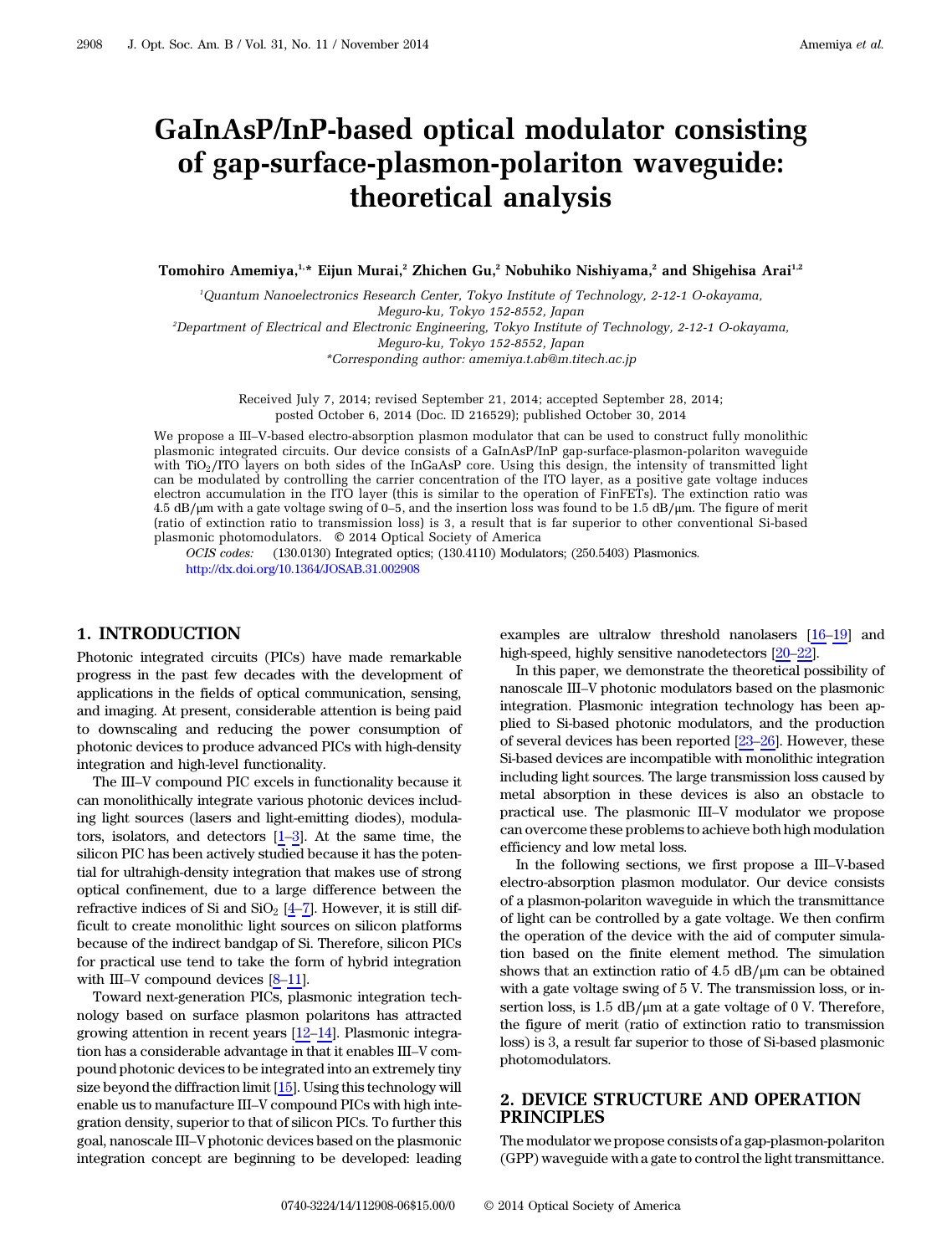# GaInAsP/InP-based optical modulator consisting of gap-surface-plasmon-polariton waveguide: theoretical analysis

Tomohiro Amemiya,<sup>1,\*</sup> Eijun Murai,<sup>2</sup> Zhichen Gu,<sup>2</sup> Nobuhiko Nishiyama,<sup>2</sup> and Shigehisa Arai<sup>1,2</sup>

1 Quantum Nanoelectronics Research Center, Tokyo Institute of Technology, 2-12-1 O-okayama, Meguro-ku, Tokyo 152-8552, Japan

2 Department of Electrical and Electronic Engineering, Tokyo Institute of Technology, 2-12-1 O-okayama, Meguro-ku, Tokyo 152-8552, Japan

\*Corresponding author: amemiya.t.ab@m.titech.ac.jp

Received July 7, 2014; revised September 21, 2014; accepted September 28, 2014; posted October 6, 2014 (Doc. ID 216529); published October 30, 2014

We propose a III–V-based electro-absorption plasmon modulator that can be used to construct fully monolithic plasmonic integrated circuits. Our device consists of a GaInAsP/InP gap-surface-plasmon-polariton waveguide with TiO<sub>2</sub>/ITO layers on both sides of the InGaAsP core. Using this design, the intensity of transmitted light can be modulated by controlling the carrier concentration of the ITO layer, as a positive gate voltage induces electron accumulation in the ITO layer (this is similar to the operation of FinFETs). The extinction ratio was 4.5 dB∕μm with a gate voltage swing of 0–5, and the insertion loss was found to be 1.5 dB∕μm. The figure of merit (ratio of extinction ratio to transmission loss) is 3, a result that is far superior to other conventional Si-based plasmonic photomodulators. © 2014 Optical Society of America

OCIS codes: (130.0130) Integrated optics; (130.4110) Modulators; (250.5403) Plasmonics. <http://dx.doi.org/10.1364/JOSAB.31.002908>

#### 1. INTRODUCTION

Photonic integrated circuits (PICs) have made remarkable progress in the past few decades with the development of applications in the fields of optical communication, sensing, and imaging. At present, considerable attention is being paid to downscaling and reducing the power consumption of photonic devices to produce advanced PICs with high-density integration and high-level functionality.

The III–V compound PIC excels in functionality because it can monolithically integrate various photonic devices including light sources (lasers and light-emitting diodes), modulators, isolators, and detectors  $[1-3]$  $[1-3]$  $[1-3]$ . At the same time, the silicon PIC has been actively studied because it has the potential for ultrahigh-density integration that makes use of strong optical confinement, due to a large difference between the refractive indices of Si and  $SiO<sub>2</sub>$  [[4](#page-5-0)–[7](#page-5-1)]. However, it is still difficult to create monolithic light sources on silicon platforms because of the indirect bandgap of Si. Therefore, silicon PICs for practical use tend to take the form of hybrid integration with III–V compound devices  $[8-11]$  $[8-11]$  $[8-11]$  $[8-11]$ .

Toward next-generation PICs, plasmonic integration technology based on surface plasmon polaritons has attracted growing attention in recent years [[12](#page-5-4)–[14](#page-5-5)]. Plasmonic integration has a considerable advantage in that it enables III–V compound photonic devices to be integrated into an extremely tiny size beyond the diffraction limit [[15](#page-5-6)]. Using this technology will enable us to manufacture III–V compound PICs with high integration density, superior to that of silicon PICs. To further this goal, nanoscale III–V photonic devices based on the plasmonic integration concept are beginning to be developed: leading

examples are ultralow threshold nanolasers [\[16](#page-5-7)–[19\]](#page-5-8) and high-speed, highly sensitive nanodetectors  $[20-22]$  $[20-22]$  $[20-22]$  $[20-22]$ .

In this paper, we demonstrate the theoretical possibility of nanoscale III–V photonic modulators based on the plasmonic integration. Plasmonic integration technology has been applied to Si-based photonic modulators, and the production of several devices has been reported [\[23](#page-5-11)–[26\]](#page-5-12). However, these Si-based devices are incompatible with monolithic integration including light sources. The large transmission loss caused by metal absorption in these devices is also an obstacle to practical use. The plasmonic III–V modulator we propose can overcome these problems to achieve both high modulation efficiency and low metal loss.

In the following sections, we first propose a III–V-based electro-absorption plasmon modulator. Our device consists of a plasmon-polariton waveguide in which the transmittance of light can be controlled by a gate voltage. We then confirm the operation of the device with the aid of computer simulation based on the finite element method. The simulation shows that an extinction ratio of 4.5 dB∕μm can be obtained with a gate voltage swing of 5 V. The transmission loss, or insertion loss, is 1.5 dB/μm at a gate voltage of 0 V. Therefore, the figure of merit (ratio of extinction ratio to transmission loss) is 3, a result far superior to those of Si-based plasmonic photomodulators.

### 2. DEVICE STRUCTURE AND OPERATION PRINCIPLES

The modulator we propose consists of a gap-plasmon-polariton (GPP) waveguide with a gate to control the light transmittance.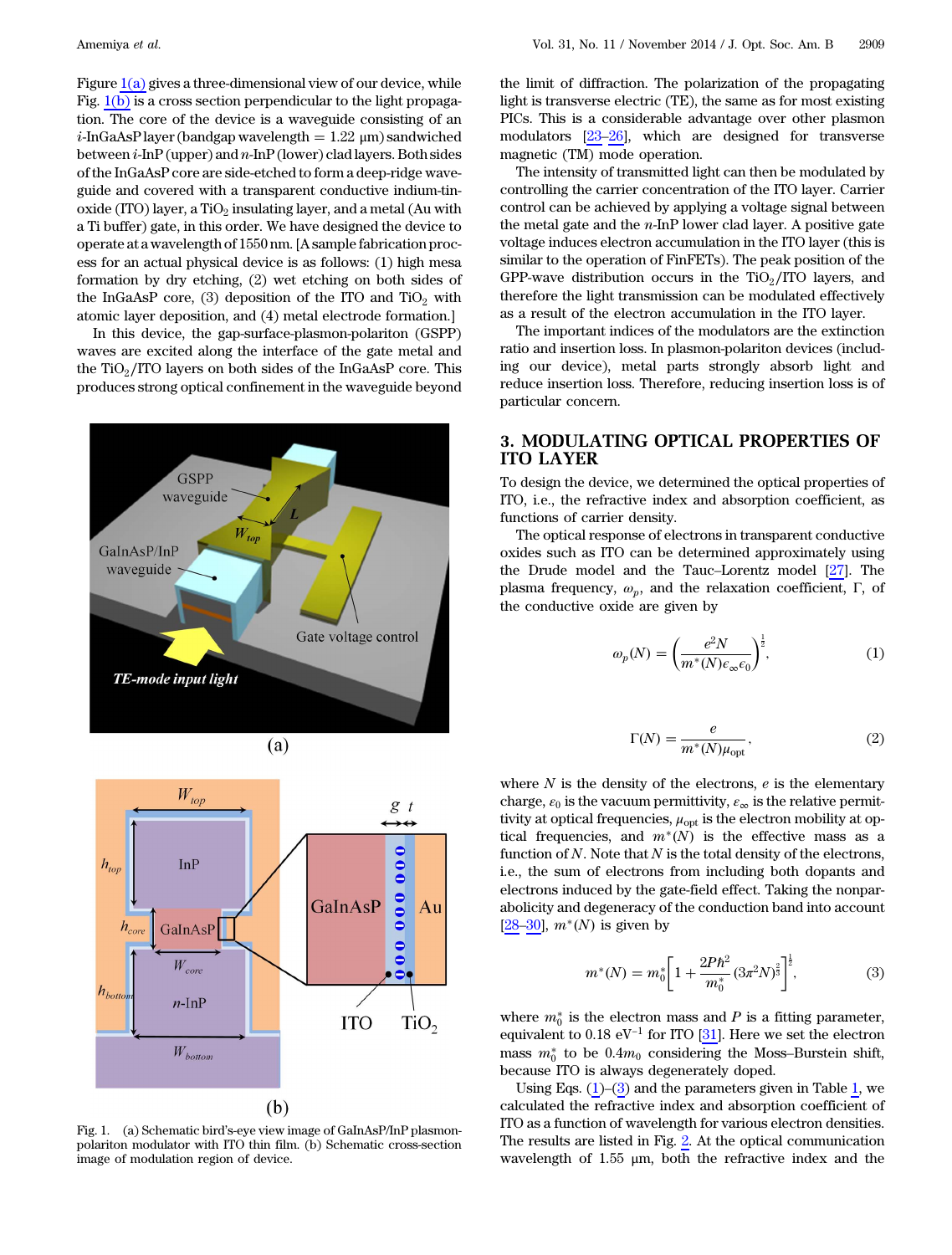Figure  $1(a)$  gives a three-dimensional view of our device, while Fig. [1\(b\)](#page-1-0) is a cross section perpendicular to the light propagation. The core of the device is a waveguide consisting of an  $i$ -InGaAsP layer (bandgap wavelength  $= 1.22 \mu m$ ) sandwiched between  $i$ -InP (upper) and  $n$ -InP (lower) clad layers. Both sides of the InGaAsP core are side-etched to form a deep-ridge waveguide and covered with a transparent conductive indium-tinoxide (ITO) layer, a TiO<sub>2</sub> insulating layer, and a metal (Au with a Ti buffer) gate, in this order. We have designed the device to operate at a wavelength of 1550 nm. [A sample fabrication process for an actual physical device is as follows: (1) high mesa formation by dry etching, (2) wet etching on both sides of the InGaAsP core,  $(3)$  deposition of the ITO and TiO<sub>2</sub> with atomic layer deposition, and (4) metal electrode formation.]

In this device, the gap-surface-plasmon-polariton (GSPP) waves are excited along the interface of the gate metal and the TiO2∕ITO layers on both sides of the InGaAsP core. This produces strong optical confinement in the waveguide beyond

<span id="page-1-0"></span>



Fig. 1. (a) Schematic bird's-eye view image of GaInAsP/InP plasmonpolariton modulator with ITO thin film. (b) Schematic cross-section image of modulation region of device.

the limit of diffraction. The polarization of the propagating light is transverse electric (TE), the same as for most existing PICs. This is a considerable advantage over other plasmon modulators [\[23](#page-5-11)–[26\]](#page-5-12), which are designed for transverse magnetic (TM) mode operation.

The intensity of transmitted light can then be modulated by controlling the carrier concentration of the ITO layer. Carrier control can be achieved by applying a voltage signal between the metal gate and the  $n$ -InP lower clad layer. A positive gate voltage induces electron accumulation in the ITO layer (this is similar to the operation of FinFETs). The peak position of the GPP-wave distribution occurs in the TiO $_2$ /ITO layers, and therefore the light transmission can be modulated effectively as a result of the electron accumulation in the ITO layer.

The important indices of the modulators are the extinction ratio and insertion loss. In plasmon-polariton devices (including our device), metal parts strongly absorb light and reduce insertion loss. Therefore, reducing insertion loss is of particular concern.

# 3. MODULATING OPTICAL PROPERTIES OF ITO LAYER

To design the device, we determined the optical properties of ITO, i.e., the refractive index and absorption coefficient, as functions of carrier density.

<span id="page-1-1"></span>The optical response of electrons in transparent conductive oxides such as ITO can be determined approximately using the Drude model and the Tauc–Lorentz model [[27\]](#page-5-13). The plasma frequency,  $ω_n$ , and the relaxation coefficient, Γ, of the conductive oxide are given by

$$
\omega_p(N) = \left(\frac{e^2 N}{m^*(N)\epsilon_\infty \epsilon_0}\right)^{\frac{1}{2}},\tag{1}
$$

$$
\Gamma(N) = \frac{e}{m^*(N)\mu_{\text{opt}}},\tag{2}
$$

where  $N$  is the density of the electrons,  $e$  is the elementary charge,  $\varepsilon_0$  is the vacuum permittivity,  $\varepsilon_{\infty}$  is the relative permittivity at optical frequencies,  $\mu_{\rm opt}$  is the electron mobility at optical frequencies, and  $m^*(N)$  is the effective mass as a function of  $N$ . Note that  $N$  is the total density of the electrons, i.e., the sum of electrons from including both dopants and electrons induced by the gate-field effect. Taking the nonparabolicity and degeneracy of the conduction band into account [[28](#page-5-14)–[30](#page-5-15)],  $m^*(N)$  is given by

<span id="page-1-2"></span>
$$
m^*(N) = m_0^* \left[ 1 + \frac{2P\hbar^2}{m_0^*} (3\pi^2 N)^{\frac{2}{3}} \right]^{\frac{1}{2}},\tag{3}
$$

where  $m_0^*$  is the electron mass and P is a fitting parameter,<br>equivalent to 0.18 eV<sup>-1</sup> for ITO [31]. Here we set the electron equivalent to 0.18 eV<sup>-1</sup> for ITO [\[31](#page-5-16)]. Here we set the electron mass  $m_0^*$  to be  $0.4m_0$  considering the Moss-Burstein shift,<br>because ITO is always decenerately doped because ITO is always degenerately doped.

Using Eqs.  $(1)$ – $(3)$  and the parameters given in Table [1,](#page-2-0) we calculated the refractive index and absorption coefficient of ITO as a function of wavelength for various electron densities. The results are listed in Fig. [2.](#page-2-1) At the optical communication wavelength of 1.55 μm, both the refractive index and the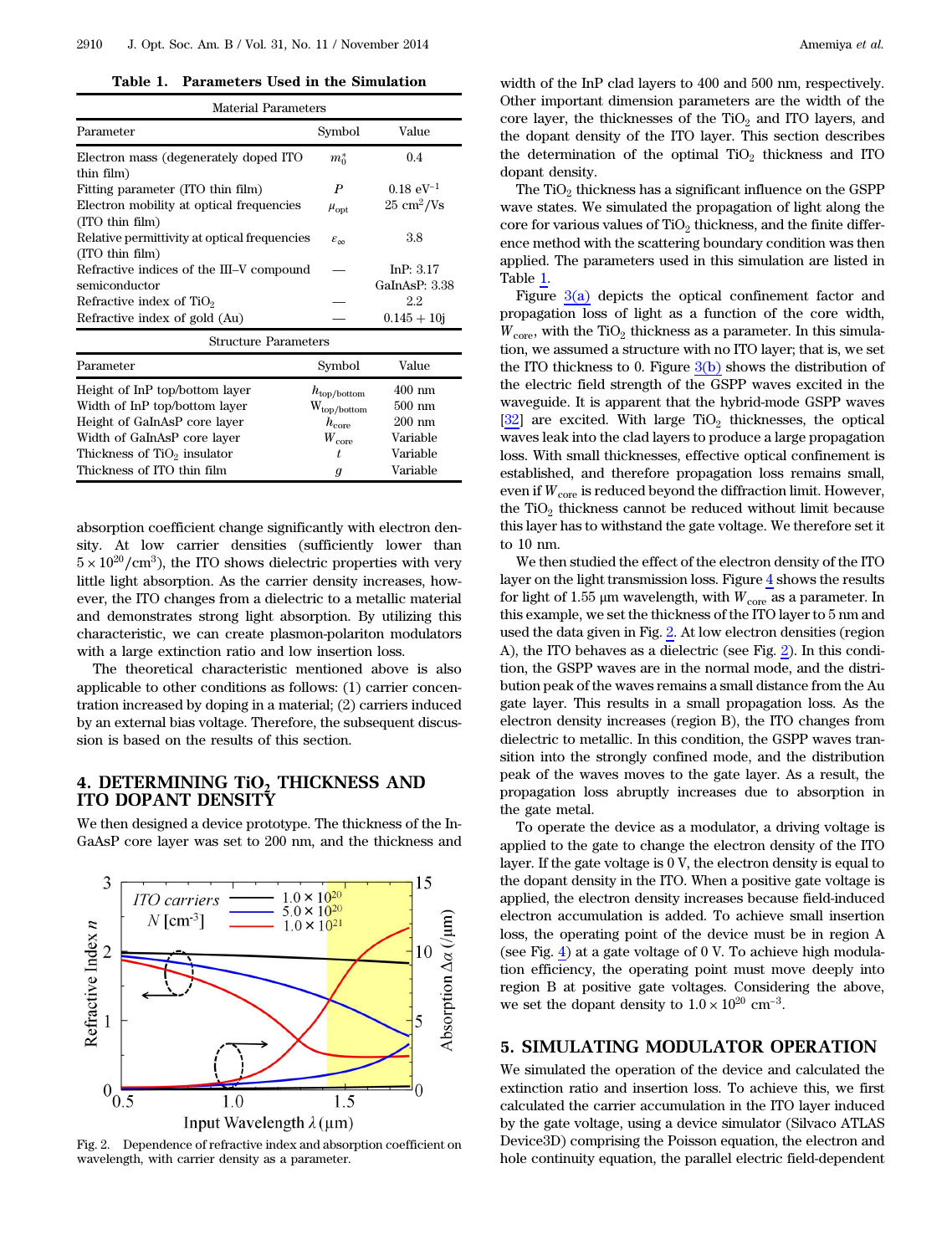Table 1. Parameters Used in the Simulation

<span id="page-2-0"></span>

| <b>Material Parameters</b>                                      |                         |                             |  |  |
|-----------------------------------------------------------------|-------------------------|-----------------------------|--|--|
| Parameter                                                       | Symbol                  | Value                       |  |  |
| Electron mass (degenerately doped ITO                           | $m_0^*$                 | 0.4                         |  |  |
| thin film)<br>Fitting parameter (ITO thin film)                 | P                       | $0.18 \text{ eV}^{-1}$      |  |  |
| Electron mobility at optical frequencies<br>(ITO thin film)     | $\mu_{\mathrm{opt}}$    | $25 \text{ cm}^2/\text{Vs}$ |  |  |
| Relative permittivity at optical frequencies<br>(ITO thin film) | $\varepsilon_{\infty}$  | 3.8                         |  |  |
| Refractive indices of the III–V compound                        |                         | In $P: 3.17$                |  |  |
| semiconductor                                                   |                         | GaInAsP: 3.38               |  |  |
| Refractive index of $TiO2$                                      |                         | 2.2                         |  |  |
| Refractive index of gold (Au)                                   |                         | $0.145 + 10j$               |  |  |
| <b>Structure Parameters</b>                                     |                         |                             |  |  |
| Parameter                                                       | Symbol                  | Value                       |  |  |
| Height of InP top/bottom layer                                  | $h_{\text{top/bottom}}$ | $400 \text{ nm}$            |  |  |
| Width of InP top/bottom layer                                   | $W_{\text{top/bottom}}$ | $500 \text{ nm}$            |  |  |
| Height of GaInAsP core layer                                    | $h_{\rm core}$          | $200 \text{ nm}$            |  |  |
| Width of GaInAsP core layer                                     | $W_{\rm core}$          | Variable                    |  |  |
| Thickness of TiO <sub>2</sub> insulator                         | t,                      | Variable                    |  |  |
| Thickness of ITO thin film                                      | $\boldsymbol{g}$        | Variable                    |  |  |
|                                                                 |                         |                             |  |  |

absorption coefficient change significantly with electron density. At low carrier densities (sufficiently lower than  $5 \times 10^{20}/\text{cm}^3$ ), the ITO shows dielectric properties with very little light absorption. As the carrier density increases, however, the ITO changes from a dielectric to a metallic material and demonstrates strong light absorption. By utilizing this characteristic, we can create plasmon-polariton modulators with a large extinction ratio and low insertion loss.

The theoretical characteristic mentioned above is also applicable to other conditions as follows: (1) carrier concentration increased by doping in a material; (2) carriers induced by an external bias voltage. Therefore, the subsequent discussion is based on the results of this section.

## 4. DETERMINING TIO<sub>2</sub> THICKNESS AND ITO DOPANT DENSITY

We then designed a device prototype. The thickness of the In-GaAsP core layer was set to 200 nm, and the thickness and

<span id="page-2-1"></span>

Fig. 2. Dependence of refractive index and absorption coefficient on wavelength, with carrier density as a parameter.

width of the InP clad layers to 400 and 500 nm, respectively. Other important dimension parameters are the width of the core layer, the thicknesses of the  $TiO<sub>2</sub>$  and ITO layers, and the dopant density of the ITO layer. This section describes the determination of the optimal  $TiO<sub>2</sub>$  thickness and ITO dopant density.

The  $TiO<sub>2</sub>$  thickness has a significant influence on the GSPP wave states. We simulated the propagation of light along the core for various values of  $TiO<sub>2</sub>$  thickness, and the finite difference method with the scattering boundary condition was then applied. The parameters used in this simulation are listed in Table [1.](#page-2-0)

Figure  $3(a)$  depicts the optical confinement factor and propagation loss of light as a function of the core width,  $W_{\text{core}}$ , with the TiO<sub>2</sub> thickness as a parameter. In this simulation, we assumed a structure with no ITO layer; that is, we set the ITO thickness to 0. Figure  $3(b)$  shows the distribution of the electric field strength of the GSPP waves excited in the waveguide. It is apparent that the hybrid-mode GSPP waves  $[32]$  $[32]$  are excited. With large  $TiO<sub>2</sub>$  thicknesses, the optical waves leak into the clad layers to produce a large propagation loss. With small thicknesses, effective optical confinement is established, and therefore propagation loss remains small, even if  $W_{\text{core}}$  is reduced beyond the diffraction limit. However, the  $TiO<sub>2</sub>$  thickness cannot be reduced without limit because this layer has to withstand the gate voltage. We therefore set it to 10 nm.

We then studied the effect of the electron density of the ITO layer on the light transmission loss. Figure [4](#page-3-1) shows the results for light of 1.55  $\mu$ m wavelength, with  $W_{\text{core}}$  as a parameter. In this example, we set the thickness of the ITO layer to 5 nm and used the data given in Fig. [2](#page-2-1). At low electron densities (region A), the ITO behaves as a dielectric (see Fig. [2\)](#page-2-1). In this condition, the GSPP waves are in the normal mode, and the distribution peak of the waves remains a small distance from the Au gate layer. This results in a small propagation loss. As the electron density increases (region B), the ITO changes from dielectric to metallic. In this condition, the GSPP waves transition into the strongly confined mode, and the distribution peak of the waves moves to the gate layer. As a result, the propagation loss abruptly increases due to absorption in the gate metal.

To operate the device as a modulator, a driving voltage is applied to the gate to change the electron density of the ITO layer. If the gate voltage is 0 V, the electron density is equal to the dopant density in the ITO. When a positive gate voltage is applied, the electron density increases because field-induced electron accumulation is added. To achieve small insertion loss, the operating point of the device must be in region A (see Fig. [4](#page-3-1)) at a gate voltage of  $0 \, \text{V}$ . To achieve high modulation efficiency, the operating point must move deeply into region B at positive gate voltages. Considering the above, we set the dopant density to  $1.0 \times 10^{20}$  cm<sup>-3</sup>.

# 5. SIMULATING MODULATOR OPERATION

We simulated the operation of the device and calculated the extinction ratio and insertion loss. To achieve this, we first calculated the carrier accumulation in the ITO layer induced by the gate voltage, using a device simulator (Silvaco ATLAS Device3D) comprising the Poisson equation, the electron and hole continuity equation, the parallel electric field-dependent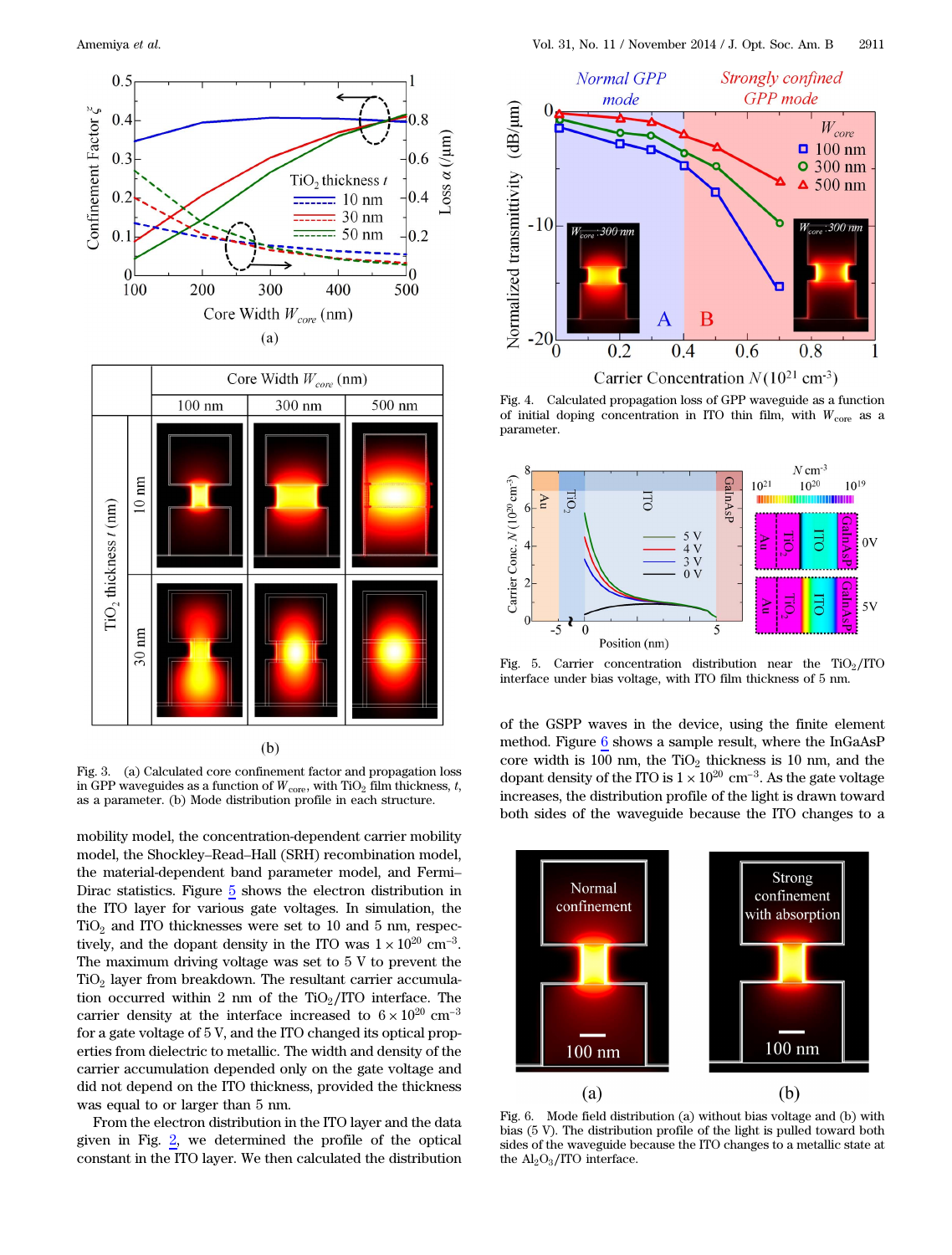<span id="page-3-0"></span>



Fig. 3. (a) Calculated core confinement factor and propagation loss in GPP waveguides as a function of  $W_{\text{core}}$ , with TiO<sub>2</sub> film thickness, t, as a parameter. (b) Mode distribution profile in each structure.

mobility model, the concentration-dependent carrier mobility model, the Shockley–Read–Hall (SRH) recombination model, the material-dependent band parameter model, and Fermi– Dirac statistics. Figure [5](#page-3-2) shows the electron distribution in the ITO layer for various gate voltages. In simulation, the TiO<sub>2</sub> and ITO thicknesses were set to 10 and 5 nm, respectively, and the dopant density in the ITO was  $1 \times 10^{20}$  cm<sup>-3</sup>. TiO<sub>2</sub> and ITO thicknesses were set to 10 and 5 nm, respectively, and the dopant density in the ITO was  $1 \times 10^{20}$  cm<sup>-3</sup>. The maximum driving voltage was set to 5 V to prevent the  $TiO<sub>2</sub>$  layer from breakdown. The resultant carrier accumulation occurred within 2 nm of the TiO $_2$ /ITO interface. The TiO<sub>2</sub> layer from breakdown. The resultant carrier accumulation occurred within 2 nm of the TiO<sub>2</sub>/ITO interface. The carrier density at the interface increased to  $6 \times 10^{20}$  cm<sup>-3</sup> for a gate voltage of 5 V, and the ITO changed its optical properties from dielectric to metallic. The width and density of the carrier accumulation depended only on the gate voltage and did not depend on the ITO thickness, provided the thickness was equal to or larger than 5 nm.

From the electron distribution in the ITO layer and the data given in Fig. [2](#page-2-1), we determined the profile of the optical constant in the ITO layer. We then calculated the distribution

<span id="page-3-1"></span>

Fig. 4. Calculated propagation loss of GPP waveguide as a function of initial doping concentration in ITO thin film, with  $W_{\text{core}}$  as a parameter.

<span id="page-3-2"></span>

Fig. 5. Carrier concentration distribution near the  $TiO<sub>2</sub>/ITO$ interface under bias voltage, with ITO film thickness of 5 nm.

of the GSPP waves in the device, using the finite element method. Figure [6](#page-3-3) shows a sample result, where the InGaAsP core width is 100 nm, the  $TiO<sub>2</sub>$  thickness is 10 nm, and the method. Figure  $\frac{6}{100}$  shows a sample result, where the InGaAsP core width is 100 nm, the TiO<sub>2</sub> thickness is 10 nm, and the dopant density of the ITO is  $1 \times 10^{20}$  cm<sup>−3</sup>. As the gate voltage increases, the distribution profile of the light is drawn toward both sides of the waveguide because the ITO changes to a

<span id="page-3-3"></span>

Fig. 6. Mode field distribution (a) without bias voltage and (b) with bias (5 V). The distribution profile of the light is pulled toward both sides of the waveguide because the ITO changes to a metallic state at the  $Al_2O_3/ITO$  interface.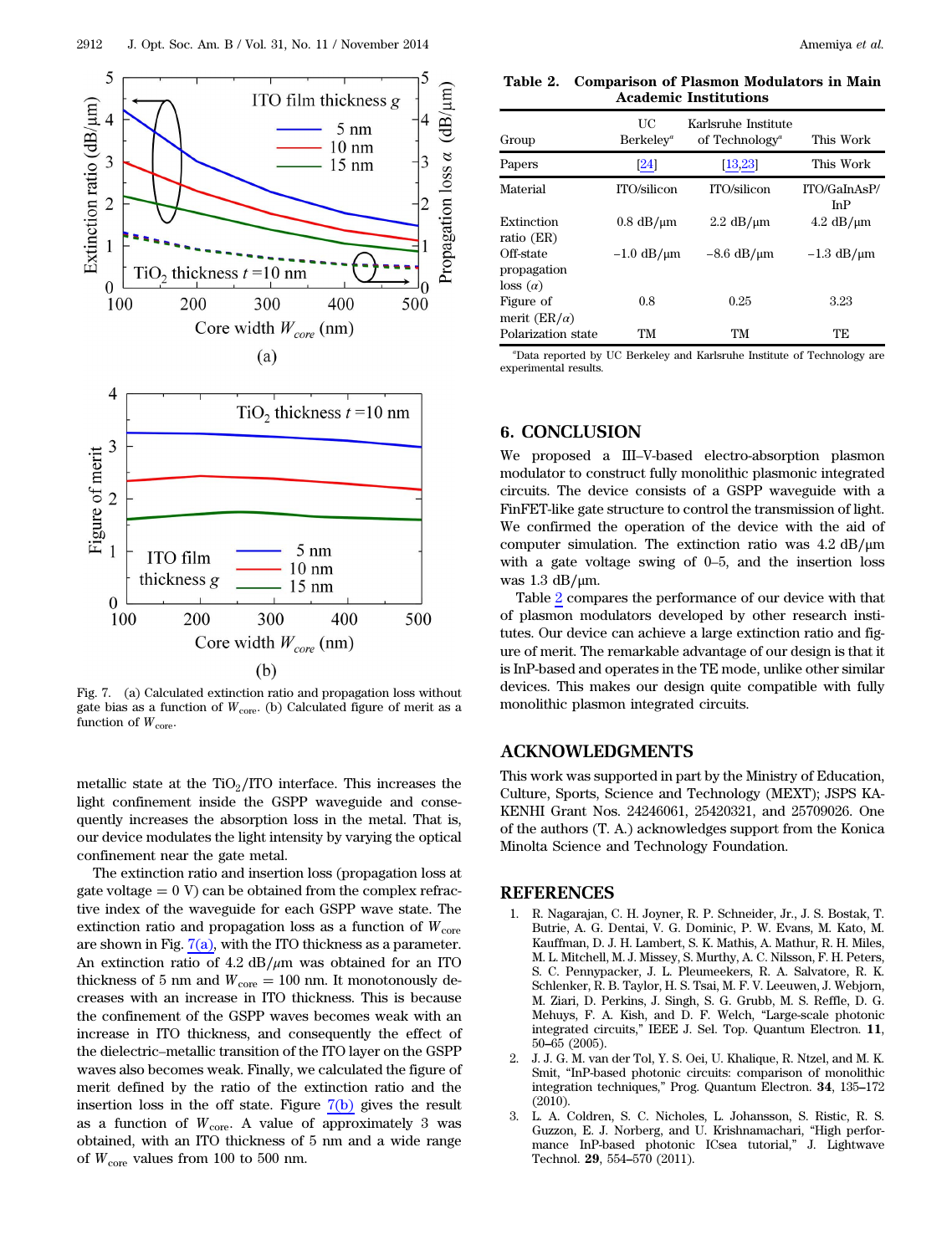<span id="page-4-2"></span>

Fig. 7. (a) Calculated extinction ratio and propagation loss without gate bias as a function of  $W_{\text{core}}$ . (b) Calculated figure of merit as a function of  $W_{\text{core}}$ .

metallic state at the  $TiO<sub>2</sub>/ITO$  interface. This increases the light confinement inside the GSPP waveguide and consequently increases the absorption loss in the metal. That is, our device modulates the light intensity by varying the optical confinement near the gate metal.

The extinction ratio and insertion loss (propagation loss at gate voltage  $= 0$  V) can be obtained from the complex refractive index of the waveguide for each GSPP wave state. The extinction ratio and propagation loss as a function of  $W_{core}$ are shown in Fig.  $7(a)$ , with the ITO thickness as a parameter. An extinction ratio of  $4.2 \text{ dB}/\mu\text{m}$  was obtained for an ITO thickness of 5 nm and  $W_{\text{core}} = 100$  nm. It monotonously decreases with an increase in ITO thickness. This is because the confinement of the GSPP waves becomes weak with an increase in ITO thickness, and consequently the effect of the dielectric–metallic transition of the ITO layer on the GSPP waves also becomes weak. Finally, we calculated the figure of merit defined by the ratio of the extinction ratio and the insertion loss in the off state. Figure  $7(b)$  gives the result as a function of  $W_{\text{core}}$ . A value of approximately 3 was obtained, with an ITO thickness of 5 nm and a wide range of  $W_{\text{core}}$  values from 100 to 500 nm.

<span id="page-4-3"></span>Table 2. Comparison of Plasmon Modulators in Main Academic Institutions

| Group                            | UС<br>$Berkeley^a$ | Karlsruhe Institute<br>of Technology <sup><i>a</i></sup> | This Work                    |
|----------------------------------|--------------------|----------------------------------------------------------|------------------------------|
| Papers                           | [24]               | $\left[13,23\right]$                                     | This Work                    |
| Material                         | ITO/silicon        | ITO/silicon                                              | ITO/GaInAsP/<br>InP          |
| Extinction<br>ratio (ER)         | $0.8$ dB/ $\mu$ m  | $2.2 \text{ dB}/\mu\text{m}$                             | $4.2 \text{ dB}/\mu\text{m}$ |
| Off-state<br>propagation         | $-1.0$ dB/ $\mu$ m | $-8.6$ dB/ $\mu$ m                                       | $-1.3$ dB/ $\mu$ m           |
| $\cos(\alpha)$                   |                    |                                                          |                              |
| Figure of<br>merit $(ER/\alpha)$ | 0.8                | 0.25                                                     | 3.23                         |
| Polarization state               | TМ                 | TМ                                                       | TE                           |

a Data reported by UC Berkeley and Karlsruhe Institute of Technology are experimental results.

## 6. CONCLUSION

We proposed a III–V-based electro-absorption plasmon modulator to construct fully monolithic plasmonic integrated circuits. The device consists of a GSPP waveguide with a FinFET-like gate structure to control the transmission of light. We confirmed the operation of the device with the aid of computer simulation. The extinction ratio was 4.2 dB∕μm with a gate voltage swing of 0–5, and the insertion loss was 1.3 dB∕μm.

Table [2](#page-4-3) compares the performance of our device with that of plasmon modulators developed by other research institutes. Our device can achieve a large extinction ratio and figure of merit. The remarkable advantage of our design is that it is InP-based and operates in the TE mode, unlike other similar devices. This makes our design quite compatible with fully monolithic plasmon integrated circuits.

#### ACKNOWLEDGMENTS

This work was supported in part by the Ministry of Education, Culture, Sports, Science and Technology (MEXT); JSPS KA-KENHI Grant Nos. 24246061, 25420321, and 25709026. One of the authors (T. A.) acknowledges support from the Konica Minolta Science and Technology Foundation.

#### <span id="page-4-0"></span>REFERENCES

- 1. R. Nagarajan, C. H. Joyner, R. P. Schneider, Jr., J. S. Bostak, T. Butrie, A. G. Dentai, V. G. Dominic, P. W. Evans, M. Kato, M. Kauffman, D. J. H. Lambert, S. K. Mathis, A. Mathur, R. H. Miles, M. L. Mitchell, M. J. Missey, S. Murthy, A. C. Nilsson, F. H. Peters, S. C. Pennypacker, J. L. Pleumeekers, R. A. Salvatore, R. K. Schlenker, R. B. Taylor, H. S. Tsai, M. F. V. Leeuwen, J. Webjorn, M. Ziari, D. Perkins, J. Singh, S. G. Grubb, M. S. Reffle, D. G. Mehuys, F. A. Kish, and D. F. Welch, "Large-scale photonic Mehuys, F. A. Kish, and D. F. Welch, "Large-scale photonic<br>integrated circuits," IEEE J. Sel. Top. Quantum Electron. 11,<br>50–65 (2005).
- <span id="page-4-1"></span>2. J. J. G. M. van der Tol, Y. S. Oei, U. Khalique, R. Ntzel, and M. K. Smit, "InP-based photonic circuits: comparison of monolithic integration techniques," Prog. Quantum Electron. <sup>34</sup>, 135–<sup>172</sup> (2010).
- 3. L. A. Coldren, S. C. Nicholes, L. Johansson, S. Ristic, R. S. Guzzon, E. J. Norberg, and U. Krishnamachari, "High performance InP-based photonic ICsea tutorial," J. Lightwave Technol. <sup>29</sup>, 554–570 (2011).